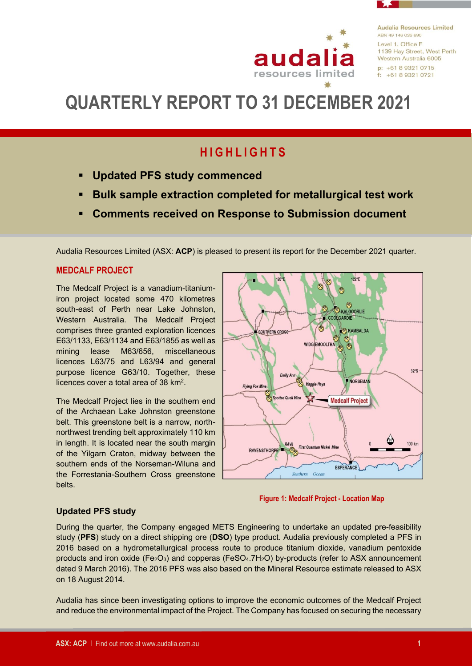

**Audalia Resources Limited** ARN 49 146 035 690 Level 1, Office F 1139 Hay Street, West Perth Western Australia 6005  $p: +61893210715$  $f: +61893210721$ 

# **QUARTERLY REPORT TO 31 DECEMBER 2021**

## **H I G H L I G H T S**

- **Updated PFS study commenced**
- **Bulk sample extraction completed for metallurgical test work**
- **Comments received on Response to Submission document**

Audalia Resources Limited (ASX: **ACP**) is pleased to present its report for the December 2021 quarter.

## **MEDCALF PROJECT**

The Medcalf Project is a vanadium-titaniumiron project located some 470 kilometres south-east of Perth near Lake Johnston, Western Australia. The Medcalf Project comprises three granted exploration licences E63/1133, E63/1134 and E63/1855 as well as mining lease M63/656, miscellaneous licences L63/75 and L63/94 and general purpose licence G63/10. Together, these licences cover a total area of 38 km<sup>2</sup>.

The Medcalf Project lies in the southern end of the Archaean Lake Johnston greenstone belt. This greenstone belt is a narrow, northnorthwest trending belt approximately 110 km in length. It is located near the south margin of the Yilgarn Craton, midway between the southern ends of the Norseman-Wiluna and the Forrestania-Southern Cross greenstone belts.





## **Updated PFS study**

During the quarter, the Company engaged METS Engineering to undertake an updated pre-feasibility study (**PFS**) study on a direct shipping ore (**DSO**) type product. Audalia previously completed a PFS in 2016 based on a hydrometallurgical process route to produce titanium dioxide, vanadium pentoxide products and iron oxide (Fe<sub>2</sub>O<sub>3</sub>) and copperas (FeSO<sub>4</sub>.7H<sub>2</sub>O) by-products (refer to ASX announcement dated 9 March 2016). The 2016 PFS was also based on the Mineral Resource estimate released to ASX on 18 August 2014.

Audalia has since been investigating options to improve the economic outcomes of the Medcalf Project and reduce the environmental impact of the Project. The Company has focused on securing the necessary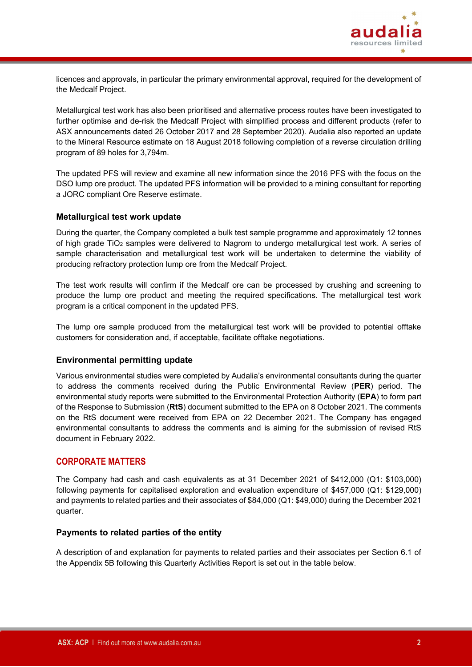

licences and approvals, in particular the primary environmental approval, required for the development of the Medcalf Project.

Metallurgical test work has also been prioritised and alternative process routes have been investigated to further optimise and de-risk the Medcalf Project with simplified process and different products (refer to ASX announcements dated 26 October 2017 and 28 September 2020). Audalia also reported an update to the Mineral Resource estimate on 18 August 2018 following completion of a reverse circulation drilling program of 89 holes for 3,794m.

The updated PFS will review and examine all new information since the 2016 PFS with the focus on the DSO lump ore product. The updated PFS information will be provided to a mining consultant for reporting a JORC compliant Ore Reserve estimate.

### **Metallurgical test work update**

During the quarter, the Company completed a bulk test sample programme and approximately 12 tonnes of high grade TiO<sup>2</sup> samples were delivered to Nagrom to undergo metallurgical test work. A series of sample characterisation and metallurgical test work will be undertaken to determine the viability of producing refractory protection lump ore from the Medcalf Project.

The test work results will confirm if the Medcalf ore can be processed by crushing and screening to produce the lump ore product and meeting the required specifications. The metallurgical test work program is a critical component in the updated PFS.

The lump ore sample produced from the metallurgical test work will be provided to potential offtake customers for consideration and, if acceptable, facilitate offtake negotiations.

#### **Environmental permitting update**

Various environmental studies were completed by Audalia's environmental consultants during the quarter to address the comments received during the Public Environmental Review (**PER**) period. The environmental study reports were submitted to the Environmental Protection Authority (**EPA**) to form part of the Response to Submission (**RtS**) document submitted to the EPA on 8 October 2021. The comments on the RtS document were received from EPA on 22 December 2021. The Company has engaged environmental consultants to address the comments and is aiming for the submission of revised RtS document in February 2022.

### **CORPORATE MATTERS**

The Company had cash and cash equivalents as at 31 December 2021 of \$412,000 (Q1: \$103,000) following payments for capitalised exploration and evaluation expenditure of \$457,000 (Q1: \$129,000) and payments to related parties and their associates of \$84,000 (Q1: \$49,000) during the December 2021 quarter.

#### **Payments to related parties of the entity**

A description of and explanation for payments to related parties and their associates per Section 6.1 of the Appendix 5B following this Quarterly Activities Report is set out in the table below.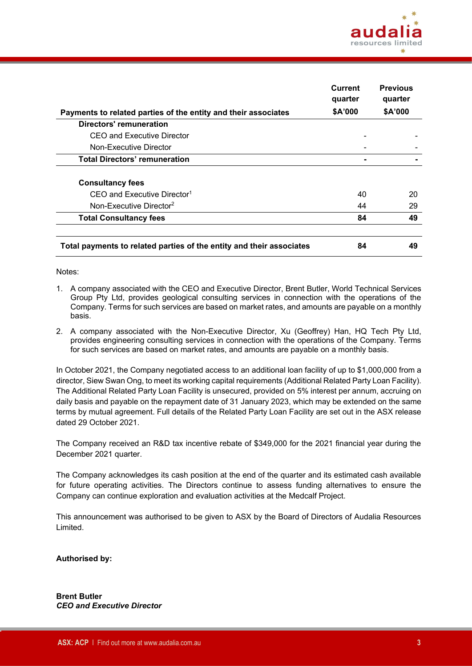

|                                                                      | Current<br>quarter | <b>Previous</b><br>quarter |
|----------------------------------------------------------------------|--------------------|----------------------------|
| Payments to related parties of the entity and their associates       | \$A'000            | \$A'000                    |
| <b>Directors' remuneration</b>                                       |                    |                            |
| CEO and Executive Director                                           |                    |                            |
| Non-Executive Director                                               |                    |                            |
| <b>Total Directors' remuneration</b>                                 |                    |                            |
| <b>Consultancy fees</b>                                              |                    |                            |
| CEO and Executive Director <sup>1</sup>                              | 40                 | 20                         |
| Non-Executive Director <sup>2</sup>                                  | 44                 | 29                         |
| <b>Total Consultancy fees</b>                                        | 84                 | 49                         |
|                                                                      |                    |                            |
| Total payments to related parties of the entity and their associates | 84                 | 49                         |

#### Notes:

- 1. A company associated with the CEO and Executive Director, Brent Butler, World Technical Services Group Pty Ltd, provides geological consulting services in connection with the operations of the Company. Terms for such services are based on market rates, and amounts are payable on a monthly basis.
- 2. A company associated with the Non-Executive Director, Xu (Geoffrey) Han, HQ Tech Pty Ltd, provides engineering consulting services in connection with the operations of the Company. Terms for such services are based on market rates, and amounts are payable on a monthly basis.

In October 2021, the Company negotiated access to an additional loan facility of up to \$1,000,000 from a director, Siew Swan Ong, to meet its working capital requirements (Additional Related Party Loan Facility). The Additional Related Party Loan Facility is unsecured, provided on 5% interest per annum, accruing on daily basis and payable on the repayment date of 31 January 2023, which may be extended on the same terms by mutual agreement. Full details of the Related Party Loan Facility are set out in the ASX release dated 29 October 2021.

The Company received an R&D tax incentive rebate of \$349,000 for the 2021 financial year during the December 2021 quarter.

The Company acknowledges its cash position at the end of the quarter and its estimated cash available for future operating activities. The Directors continue to assess funding alternatives to ensure the Company can continue exploration and evaluation activities at the Medcalf Project.

This announcement was authorised to be given to ASX by the Board of Directors of Audalia Resources Limited.

**Authorised by:**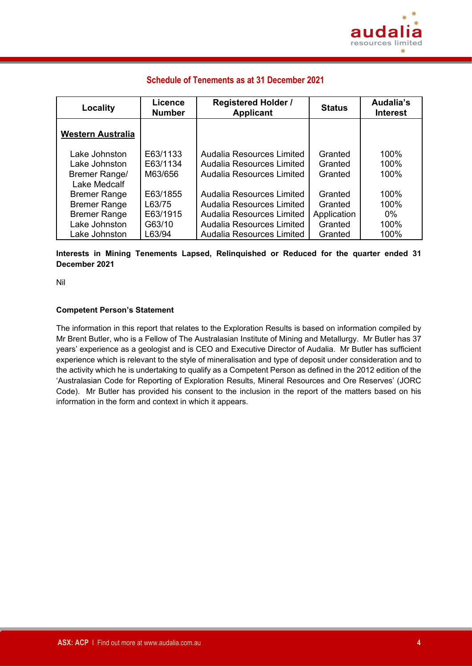

## **Schedule of Tenements as at 31 December 2021**

| Locality                       | Licence<br><b>Number</b> | <b>Registered Holder /</b><br><b>Applicant</b>         | <b>Status</b>      | Audalia's<br><b>Interest</b> |
|--------------------------------|--------------------------|--------------------------------------------------------|--------------------|------------------------------|
| <b>Western Australia</b>       |                          |                                                        |                    |                              |
| Lake Johnston<br>Lake Johnston | E63/1133<br>E63/1134     | Audalia Resources Limited<br>Audalia Resources Limited | Granted<br>Granted | 100%<br>100%                 |
| Bremer Range/<br>Lake Medcalf  | M63/656                  | Audalia Resources Limited                              | Granted            | 100%                         |
| <b>Bremer Range</b>            | E63/1855                 | Audalia Resources Limited                              | Granted            | 100%                         |
| <b>Bremer Range</b>            | L63/75                   | Audalia Resources Limited                              | Granted            | 100%                         |
| <b>Bremer Range</b>            | E63/1915                 | Audalia Resources Limited                              | Application        | $0\%$                        |
| Lake Johnston                  | G63/10                   | Audalia Resources Limited                              | Granted            | 100%                         |
| Lake Johnston                  | L63/94                   | Audalia Resources Limited                              | Granted            | 100%                         |

## **Interests in Mining Tenements Lapsed, Relinquished or Reduced for the quarter ended 31 December 2021**

Nil

### **Competent Person's Statement**

The information in this report that relates to the Exploration Results is based on information compiled by Mr Brent Butler, who is a Fellow of The Australasian Institute of Mining and Metallurgy. Mr Butler has 37 years' experience as a geologist and is CEO and Executive Director of Audalia. Mr Butler has sufficient experience which is relevant to the style of mineralisation and type of deposit under consideration and to the activity which he is undertaking to qualify as a Competent Person as defined in the 2012 edition of the 'Australasian Code for Reporting of Exploration Results, Mineral Resources and Ore Reserves' (JORC Code). Mr Butler has provided his consent to the inclusion in the report of the matters based on his information in the form and context in which it appears.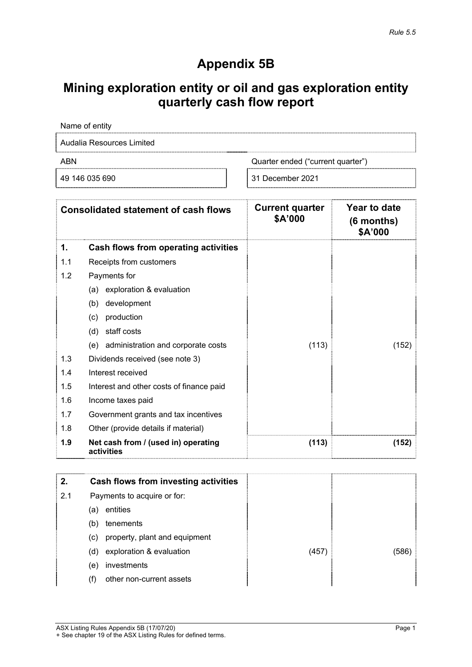## **Appendix 5B**

## **Mining exploration entity or oil and gas exploration entity quarterly cash flow report**

|     | Name of entity                                    |                                   |                                              |
|-----|---------------------------------------------------|-----------------------------------|----------------------------------------------|
|     | Audalia Resources Limited                         |                                   |                                              |
| ABN |                                                   | Quarter ended ("current quarter") |                                              |
|     | 49 146 035 690                                    | 31 December 2021                  |                                              |
|     | <b>Consolidated statement of cash flows</b>       | <b>Current quarter</b><br>\$A'000 | <b>Year to date</b><br>(6 months)<br>\$A'000 |
| 1.  | Cash flows from operating activities              |                                   |                                              |
| 1.1 | Receipts from customers                           |                                   |                                              |
| 1.2 | Payments for                                      |                                   |                                              |
|     | exploration & evaluation<br>(a)                   |                                   |                                              |
|     | development<br>(b)                                |                                   |                                              |
|     | production<br>(c)                                 |                                   |                                              |
|     | staff costs<br>(d)                                |                                   |                                              |
|     | administration and corporate costs<br>(e)         | (113)                             | (152)                                        |
| 1.3 | Dividends received (see note 3)                   |                                   |                                              |
| 1.4 | Interest received                                 |                                   |                                              |
| 1.5 | Interest and other costs of finance paid          |                                   |                                              |
| 1.6 | Income taxes paid                                 |                                   |                                              |
| 1.7 | Government grants and tax incentives              |                                   |                                              |
| 1.8 | Other (provide details if material)               |                                   |                                              |
| 1.9 | Net cash from / (used in) operating<br>activities | (113)                             | (152)                                        |
| 2.  | <b>Cash flows from investing activities</b>       |                                   |                                              |

| 2.  | <b>Cash flows from investing activities</b> |       |       |
|-----|---------------------------------------------|-------|-------|
| 2.1 | Payments to acquire or for:                 |       |       |
|     | entities<br>(a)                             |       |       |
|     | tenements<br>(b)                            |       |       |
|     | property, plant and equipment<br>(C)        |       |       |
|     | exploration & evaluation<br>(d)             | (457) | (586) |
|     | investments<br>(e)                          |       |       |
|     | other non-current assets<br>(f)             |       |       |
|     |                                             |       |       |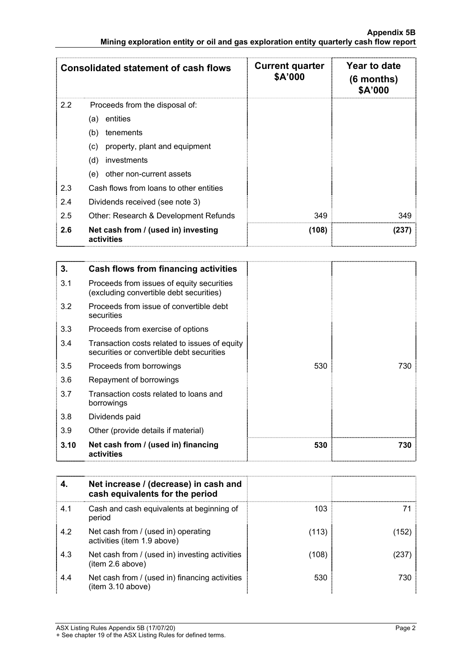|     | <b>Consolidated statement of cash flows</b>       | <b>Current quarter</b><br>\$A'000 | Year to date<br>$(6$ months)<br>\$A'000 |
|-----|---------------------------------------------------|-----------------------------------|-----------------------------------------|
| 2.2 | Proceeds from the disposal of:                    |                                   |                                         |
|     | entities<br>(a)                                   |                                   |                                         |
|     | tenements<br>(b)                                  |                                   |                                         |
|     | property, plant and equipment<br>(c)              |                                   |                                         |
|     | (d)<br>investments                                |                                   |                                         |
|     | other non-current assets<br>(e)                   |                                   |                                         |
| 2.3 | Cash flows from loans to other entities           |                                   |                                         |
| 2.4 | Dividends received (see note 3)                   |                                   |                                         |
| 2.5 | Other: Research & Development Refunds             | 349                               | 349                                     |
| 2.6 | Net cash from / (used in) investing<br>activities | (108)                             | (237)                                   |

| 3.   | Cash flows from financing activities                                                       |     |     |
|------|--------------------------------------------------------------------------------------------|-----|-----|
| 3.1  | Proceeds from issues of equity securities<br>(excluding convertible debt securities)       |     |     |
| 3.2  | Proceeds from issue of convertible debt<br>securities                                      |     |     |
| 3.3  | Proceeds from exercise of options                                                          |     |     |
| 3.4  | Transaction costs related to issues of equity<br>securities or convertible debt securities |     |     |
| 3.5  | Proceeds from borrowings                                                                   | 530 | 730 |
| 3.6  | Repayment of borrowings                                                                    |     |     |
| 3.7  | Transaction costs related to loans and<br>borrowings                                       |     |     |
| 3.8  | Dividends paid                                                                             |     |     |
| 3.9  | Other (provide details if material)                                                        |     |     |
| 3.10 | Net cash from / (used in) financing<br>activities                                          | 530 | 730 |

|     | Net increase / (decrease) in cash and<br>cash equivalents for the period |       |     |
|-----|--------------------------------------------------------------------------|-------|-----|
| 4.1 | Cash and cash equivalents at beginning of<br>period                      | 103   |     |
| 4.2 | Net cash from / (used in) operating<br>activities (item 1.9 above)       | (113) | 152 |
| 4.3 | Net cash from / (used in) investing activities<br>(item 2.6 above)       | (108) |     |
| 4.4 | Net cash from / (used in) financing activities<br>(item 3.10 above)      | 530   | 730 |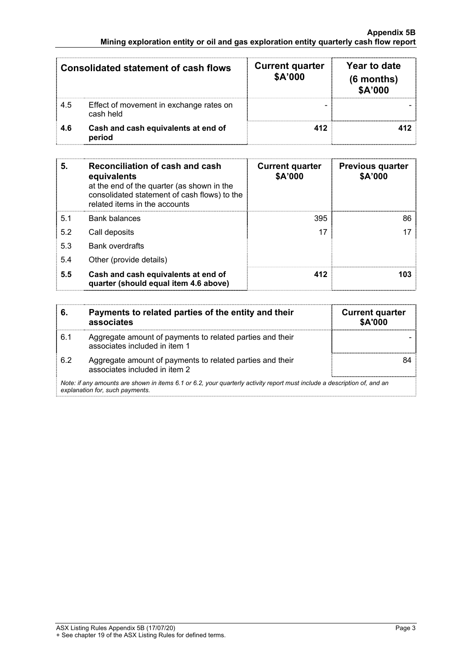|     | <b>Consolidated statement of cash flows</b>          | <b>Current quarter</b><br>\$A'000 | Year to date<br>(6 months)<br>\$A'000 |
|-----|------------------------------------------------------|-----------------------------------|---------------------------------------|
| 4.5 | Effect of movement in exchange rates on<br>cash held |                                   |                                       |
| 4.6 | Cash and cash equivalents at end of<br>period        | 412                               |                                       |

| 5.  | Reconciliation of cash and cash<br>equivalents<br>at the end of the quarter (as shown in the<br>consolidated statement of cash flows) to the<br>related items in the accounts | <b>Current quarter</b><br>\$A'000 | <b>Previous quarter</b><br>\$A'000 |
|-----|-------------------------------------------------------------------------------------------------------------------------------------------------------------------------------|-----------------------------------|------------------------------------|
| 5.1 | <b>Bank balances</b>                                                                                                                                                          | 395                               | 86                                 |
| 5.2 | Call deposits                                                                                                                                                                 | 17                                |                                    |
| 5.3 | <b>Bank overdrafts</b>                                                                                                                                                        |                                   |                                    |
| 5.4 | Other (provide details)                                                                                                                                                       |                                   |                                    |
| 5.5 | Cash and cash equivalents at end of<br>quarter (should equal item 4.6 above)                                                                                                  | 412                               | 103                                |

| 6.  | Payments to related parties of the entity and their<br>associates                                                                                           | <b>Current quarter</b><br>\$A'000 |
|-----|-------------------------------------------------------------------------------------------------------------------------------------------------------------|-----------------------------------|
| 6.1 | Aggregate amount of payments to related parties and their<br>associates included in item 1                                                                  |                                   |
| 6.2 | Aggregate amount of payments to related parties and their<br>associates included in item 2                                                                  |                                   |
|     | Note: if any amounts are shown in items 6.1 or 6.2, your quarterly activity report must include a description of, and an<br>explanation for, such payments. |                                   |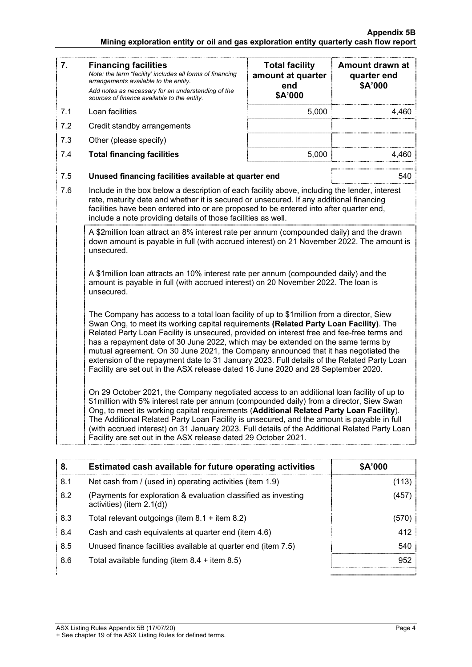| 7.  | <b>Financing facilities</b><br>Note: the term "facility' includes all forms of financing<br>arrangements available to the entity.<br>Add notes as necessary for an understanding of the<br>sources of finance available to the entity.                                                                                                                                                                                                                                                                                                                                                                                                          | <b>Total facility</b><br>amount at quarter<br>end<br>\$A'000 | Amount drawn at<br>quarter end<br>\$A'000 |
|-----|-------------------------------------------------------------------------------------------------------------------------------------------------------------------------------------------------------------------------------------------------------------------------------------------------------------------------------------------------------------------------------------------------------------------------------------------------------------------------------------------------------------------------------------------------------------------------------------------------------------------------------------------------|--------------------------------------------------------------|-------------------------------------------|
| 7.1 | Loan facilities                                                                                                                                                                                                                                                                                                                                                                                                                                                                                                                                                                                                                                 | 5,000                                                        | 4,460                                     |
| 7.2 | Credit standby arrangements                                                                                                                                                                                                                                                                                                                                                                                                                                                                                                                                                                                                                     |                                                              |                                           |
| 7.3 | Other (please specify)                                                                                                                                                                                                                                                                                                                                                                                                                                                                                                                                                                                                                          |                                                              |                                           |
| 7.4 | <b>Total financing facilities</b>                                                                                                                                                                                                                                                                                                                                                                                                                                                                                                                                                                                                               | 5,000                                                        | 4.460                                     |
| 7.5 | Unused financing facilities available at quarter end                                                                                                                                                                                                                                                                                                                                                                                                                                                                                                                                                                                            |                                                              | 540                                       |
| 7.6 | Include in the box below a description of each facility above, including the lender, interest<br>rate, maturity date and whether it is secured or unsecured. If any additional financing<br>facilities have been entered into or are proposed to be entered into after quarter end,<br>include a note providing details of those facilities as well.                                                                                                                                                                                                                                                                                            |                                                              |                                           |
|     | A \$2million loan attract an 8% interest rate per annum (compounded daily) and the drawn<br>down amount is payable in full (with accrued interest) on 21 November 2022. The amount is<br>unsecured.                                                                                                                                                                                                                                                                                                                                                                                                                                             |                                                              |                                           |
|     | A \$1million loan attracts an 10% interest rate per annum (compounded daily) and the<br>amount is payable in full (with accrued interest) on 20 November 2022. The loan is<br>unsecured.                                                                                                                                                                                                                                                                                                                                                                                                                                                        |                                                              |                                           |
|     | The Company has access to a total loan facility of up to \$1 million from a director, Siew<br>Swan Ong, to meet its working capital requirements (Related Party Loan Facility). The<br>Related Party Loan Facility is unsecured, provided on interest free and fee-free terms and<br>has a repayment date of 30 June 2022, which may be extended on the same terms by<br>mutual agreement. On 30 June 2021, the Company announced that it has negotiated the<br>extension of the repayment date to 31 January 2023. Full details of the Related Party Loan<br>Facility are set out in the ASX release dated 16 June 2020 and 28 September 2020. |                                                              |                                           |
|     | On 29 October 2021, the Company negotiated access to an additional loan facility of up to<br>\$1million with 5% interest rate per annum (compounded daily) from a director, Siew Swan<br>Ong, to meet its working capital requirements (Additional Related Party Loan Facility).<br>The Additional Related Party Loan Facility is unsecured, and the amount is payable in full<br>(with accrued interest) on 31 January 2023. Full details of the Additional Related Party Loan<br>Facility are set out in the ASX release dated 29 October 2021.                                                                                               |                                                              |                                           |

| 8.  | Estimated cash available for future operating activities                                       | \$A'000 |
|-----|------------------------------------------------------------------------------------------------|---------|
| 8.1 | Net cash from / (used in) operating activities (item 1.9)                                      | (113)   |
| 8.2 | (Payments for exploration & evaluation classified as investing<br>activities) (item $2.1(d)$ ) | (457)   |
| 8.3 | Total relevant outgoings (item $8.1 +$ item $8.2$ )                                            | (570)   |
| 8.4 | Cash and cash equivalents at quarter end (item 4.6)                                            | 412     |
| 8.5 | Unused finance facilities available at quarter end (item 7.5)                                  | 540     |
| 8.6 | Total available funding (item $8.4 +$ item $8.5$ )                                             | 952     |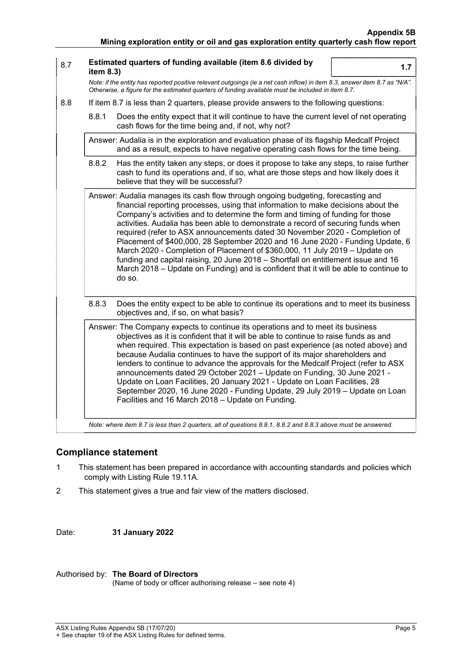| 8.7 | item $8.3$ ) | Estimated quarters of funding available (item 8.6 divided by<br>1.7                                                                                                                                                                                                                                                                                                                                                                                                                                                                                                                                                                                                                                                                                                                |
|-----|--------------|------------------------------------------------------------------------------------------------------------------------------------------------------------------------------------------------------------------------------------------------------------------------------------------------------------------------------------------------------------------------------------------------------------------------------------------------------------------------------------------------------------------------------------------------------------------------------------------------------------------------------------------------------------------------------------------------------------------------------------------------------------------------------------|
|     |              | Note: if the entity has reported positive relevant outgoings (ie a net cash inflow) in item 8.3, answer item 8.7 as "N/A".<br>Otherwise, a figure for the estimated quarters of funding available must be included in item 8.7.                                                                                                                                                                                                                                                                                                                                                                                                                                                                                                                                                    |
| 8.8 |              | If item 8.7 is less than 2 quarters, please provide answers to the following questions:                                                                                                                                                                                                                                                                                                                                                                                                                                                                                                                                                                                                                                                                                            |
|     | 8.8.1        | Does the entity expect that it will continue to have the current level of net operating<br>cash flows for the time being and, if not, why not?                                                                                                                                                                                                                                                                                                                                                                                                                                                                                                                                                                                                                                     |
|     |              | Answer: Audalia is in the exploration and evaluation phase of its flagship Medcalf Project<br>and as a result, expects to have negative operating cash flows for the time being.                                                                                                                                                                                                                                                                                                                                                                                                                                                                                                                                                                                                   |
|     | 8.8.2        | Has the entity taken any steps, or does it propose to take any steps, to raise further<br>cash to fund its operations and, if so, what are those steps and how likely does it<br>believe that they will be successful?                                                                                                                                                                                                                                                                                                                                                                                                                                                                                                                                                             |
|     |              | Answer: Audalia manages its cash flow through ongoing budgeting, forecasting and<br>financial reporting processes, using that information to make decisions about the<br>Company's activities and to determine the form and timing of funding for those<br>activities. Audalia has been able to demonstrate a record of securing funds when<br>required (refer to ASX announcements dated 30 November 2020 - Completion of<br>Placement of \$400,000, 28 September 2020 and 16 June 2020 - Funding Update, 6<br>March 2020 - Completion of Placement of \$360,000, 11 July 2019 - Update on<br>funding and capital raising, 20 June 2018 - Shortfall on entitlement issue and 16<br>March 2018 – Update on Funding) and is confident that it will be able to continue to<br>do so. |
|     | 8.8.3        | Does the entity expect to be able to continue its operations and to meet its business<br>objectives and, if so, on what basis?                                                                                                                                                                                                                                                                                                                                                                                                                                                                                                                                                                                                                                                     |
|     |              | Answer: The Company expects to continue its operations and to meet its business<br>objectives as it is confident that it will be able to continue to raise funds as and<br>when required. This expectation is based on past experience (as noted above) and<br>because Audalia continues to have the support of its major shareholders and<br>lenders to continue to advance the approvals for the Medcalf Project (refer to ASX<br>announcements dated 29 October 2021 - Update on Funding, 30 June 2021 -<br>Update on Loan Facilities, 20 January 2021 - Update on Loan Facilities, 28<br>September 2020, 16 June 2020 - Funding Update, 29 July 2019 - Update on Loan<br>Facilities and 16 March 2018 - Update on Funding.                                                     |
|     |              | Note: where item 8.7 is less than 2 quarters, all of questions 8.8.1, 8.8.2 and 8.8.3 above must be answered.                                                                                                                                                                                                                                                                                                                                                                                                                                                                                                                                                                                                                                                                      |

## **Compliance statement**

- 1 This statement has been prepared in accordance with accounting standards and policies which comply with Listing Rule 19.11A.
- 2 This statement gives a true and fair view of the matters disclosed.

Date: **31 January 2022**

## Authorised by: **The Board of Directors**

(Name of body or officer authorising release – see note 4)